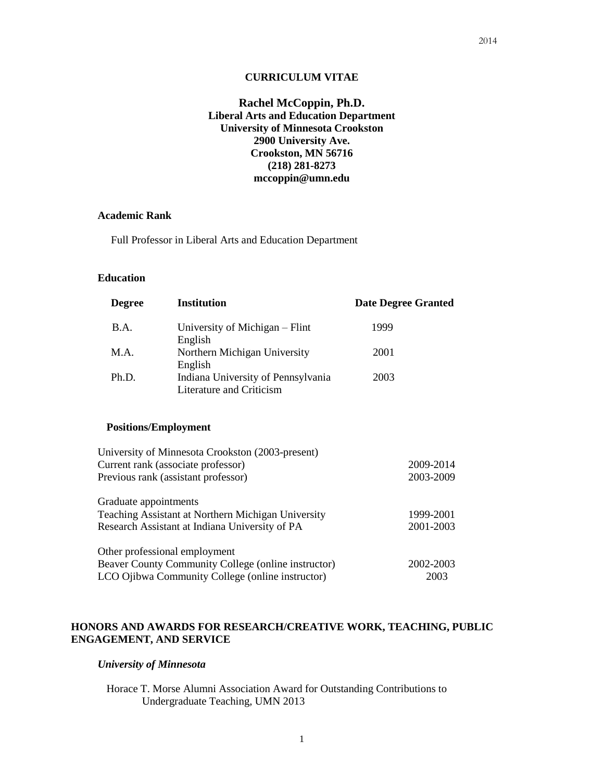## **Rachel McCoppin, Ph.D. Liberal Arts and Education Department University of Minnesota Crookston 2900 University Ave. Crookston, MN 56716 (218) 281-8273 mccoppin@umn.edu**

### **Academic Rank**

Full Professor in Liberal Arts and Education Department

## **Education**

| <b>Degree</b>                                             | <b>Institution</b>                                                                     |      | <b>Date Degree Granted</b> |  |
|-----------------------------------------------------------|----------------------------------------------------------------------------------------|------|----------------------------|--|
| B.A.                                                      | University of Michigan – Flint<br>English                                              | 1999 |                            |  |
| M.A.                                                      | Northern Michigan University<br>English                                                | 2001 |                            |  |
| Ph.D.                                                     | Indiana University of Pennsylvania<br>Literature and Criticism                         | 2003 |                            |  |
| <b>Positions/Employment</b>                               |                                                                                        |      |                            |  |
|                                                           | University of Minnesota Crookston (2003-present)<br>Current rank (associate professor) |      | 2009-2014                  |  |
| Previous rank (assistant professor)                       |                                                                                        |      | 2003-2009                  |  |
| Graduate appointments                                     |                                                                                        |      |                            |  |
| <b>Teaching Assistant at Northern Michigan University</b> |                                                                                        |      | 1999-2001                  |  |
| Research Assistant at Indiana University of PA            |                                                                                        |      | 2001-2003                  |  |
|                                                           | Other professional employment                                                          |      |                            |  |

| Beaver County Community College (online instructor) | 2002-2003 |
|-----------------------------------------------------|-----------|
| LCO Ojibwa Community College (online instructor)    | 2003      |

## **HONORS AND AWARDS FOR RESEARCH/CREATIVE WORK, TEACHING, PUBLIC ENGAGEMENT, AND SERVICE**

## *University of Minnesota*

Horace T. Morse Alumni Association Award for Outstanding Contributions to Undergraduate Teaching, UMN 2013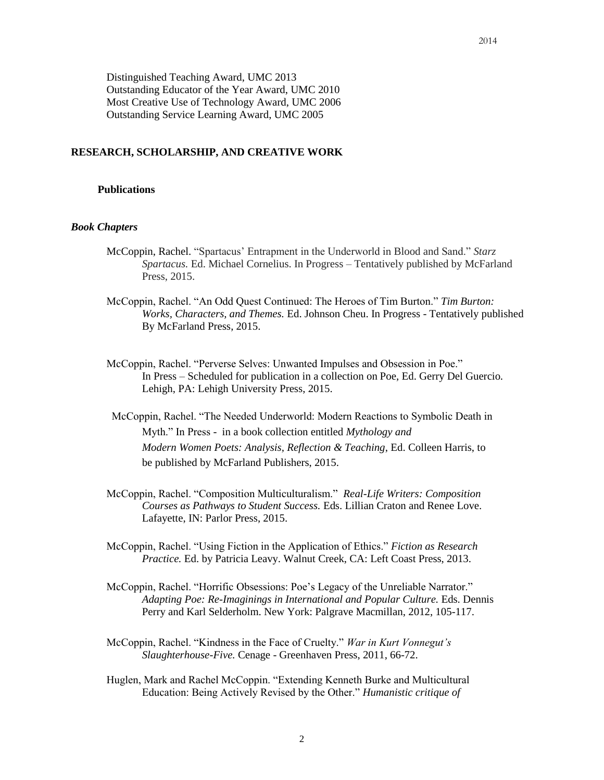## **RESEARCH, SCHOLARSHIP, AND CREATIVE WORK**

### **Publications**

#### *Book Chapters*

- McCoppin, Rachel. "Spartacus' Entrapment in the Underworld in Blood and Sand." *Starz Spartacus.* Ed. Michael Cornelius. In Progress – Tentatively published by McFarland Press, 2015.
- McCoppin, Rachel. "An Odd Quest Continued: The Heroes of Tim Burton." *Tim Burton: Works, Characters, and Themes.* Ed. Johnson Cheu. In Progress - Tentatively published By McFarland Press, 2015.
- McCoppin, Rachel. "Perverse Selves: Unwanted Impulses and Obsession in Poe." In Press – Scheduled for publication in a collection on Poe, Ed. Gerry Del Guercio. Lehigh, PA: Lehigh University Press, 2015.
- McCoppin, Rachel. "The Needed Underworld: Modern Reactions to Symbolic Death in Myth." In Press - in a book collection entitled *Mythology and Modern Women Poets: Analysis, Reflection & Teaching*, Ed. Colleen Harris, to be published by McFarland Publishers, 2015.
- McCoppin, Rachel. "Composition Multiculturalism." *Real-Life Writers: Composition Courses as Pathways to Student Success.* Eds. Lillian Craton and Renee Love. Lafayette, IN: Parlor Press, 2015.
- McCoppin, Rachel. "Using Fiction in the Application of Ethics." *Fiction as Research Practice.* Ed. by Patricia Leavy. Walnut Creek, CA: Left Coast Press, 2013.
- McCoppin, Rachel. "Horrific Obsessions: Poe's Legacy of the Unreliable Narrator." *Adapting Poe: Re-Imaginings in International and Popular Culture.* Eds. Dennis Perry and Karl Selderholm. New York: Palgrave Macmillan, 2012, 105-117.
- McCoppin, Rachel. "Kindness in the Face of Cruelty." *War in Kurt Vonnegut's Slaughterhouse-Five.* Cenage - Greenhaven Press, 2011, 66-72.
- Huglen, Mark and Rachel McCoppin. "Extending Kenneth Burke and Multicultural Education: Being Actively Revised by the Other." *Humanistic critique of*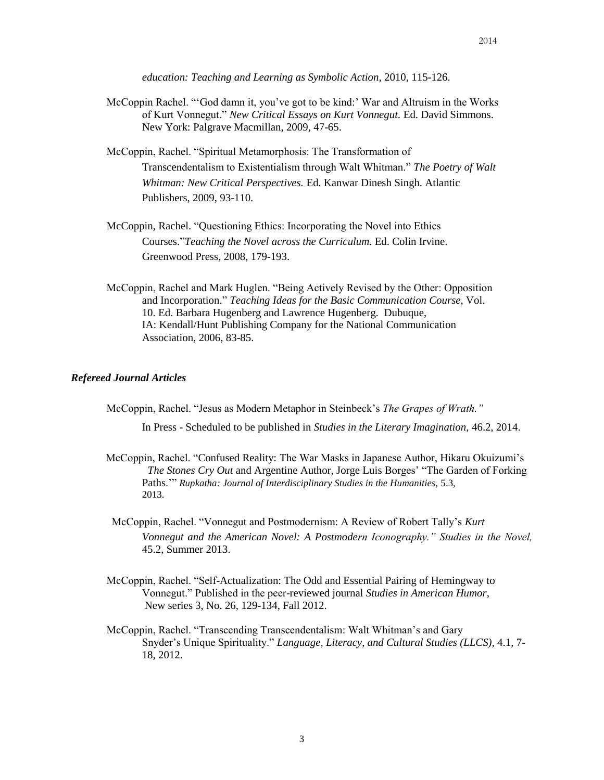*education: Teaching and Learning as Symbolic Action*, 2010, 115-126.

- McCoppin Rachel. "'God damn it, you've got to be kind:' War and Altruism in the Works of Kurt Vonnegut." *New Critical Essays on Kurt Vonnegut.* Ed. David Simmons. New York: Palgrave Macmillan, 2009, 47-65.
- McCoppin, Rachel. "Spiritual Metamorphosis: The Transformation of Transcendentalism to Existentialism through Walt Whitman." *The Poetry of Walt Whitman: New Critical Perspectives.* Ed. Kanwar Dinesh Singh. Atlantic Publishers, 2009, 93-110.
- McCoppin, Rachel. "Questioning Ethics: Incorporating the Novel into Ethics Courses."*Teaching the Novel across the Curriculum.* Ed. Colin Irvine. Greenwood Press, 2008, 179-193.
- McCoppin, Rachel and Mark Huglen. "Being Actively Revised by the Other: Opposition and Incorporation." *Teaching Ideas for the Basic Communication Course*, Vol. 10. Ed. Barbara Hugenberg and Lawrence Hugenberg. Dubuque, IA: Kendall/Hunt Publishing Company for the National Communication Association, 2006, 83-85.

### *Refereed Journal Articles*

McCoppin, Rachel. "Jesus as Modern Metaphor in Steinbeck's *The Grapes of Wrath."*

In Press - Scheduled to be published in *Studies in the Literary Imagination,* 46.2, 2014.

- McCoppin, Rachel. "Confused Reality: The War Masks in Japanese Author, Hikaru Okuizumi's *The Stones Cry Out* and Argentine Author, Jorge Luis Borges' "The Garden of Forking Paths." *Rupkatha: Journal of Interdisciplinary Studies in the Humanities, 5.3,* 2013.
- McCoppin, Rachel. "Vonnegut and Postmodernism: A Review of Robert Tally's *Kurt Vonnegut and the American Novel: A Postmodern Iconography." Studies in the Novel,*  45.2, Summer 2013.
- McCoppin, Rachel. "Self-Actualization: The Odd and Essential Pairing of Hemingway to Vonnegut." Published in the peer-reviewed journal *Studies in American Humor,* New series 3, No. 26, 129-134, Fall 2012.
- McCoppin, Rachel. "Transcending Transcendentalism: Walt Whitman's and Gary Snyder's Unique Spirituality." *Language, Literacy, and Cultural Studies (LLCS),* 4.1, 7- 18, 2012.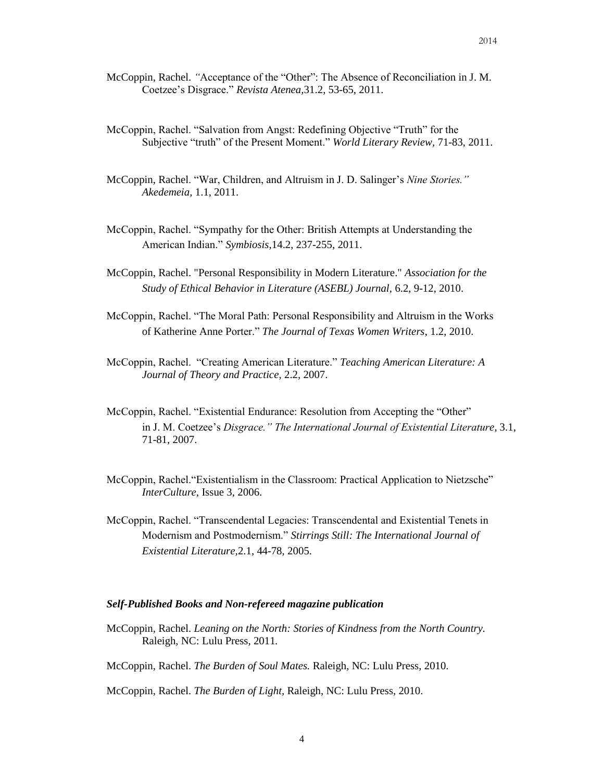- McCoppin, Rachel. *"*Acceptance of the "Other": The Absence of Reconciliation in J. M. Coetzee's Disgrace." *Revista Atenea,*31.2, 53-65, 2011.
- McCoppin, Rachel. "Salvation from Angst: Redefining Objective "Truth" for the Subjective "truth" of the Present Moment." *World Literary Review,* 71-83, 2011.
- McCoppin, Rachel. "War, Children, and Altruism in J. D. Salinger's *Nine Stories." Akedemeia,* 1.1, 2011.
- McCoppin, Rachel. "Sympathy for the Other: British Attempts at Understanding the American Indian." *Symbiosis,*14.2, 237-255, 2011.
- McCoppin, Rachel. "Personal Responsibility in Modern Literature." *Association for the Study of Ethical Behavior in Literature (ASEBL) Journal,* 6.2, 9-12, 2010.
- McCoppin, Rachel. "The Moral Path: Personal Responsibility and Altruism in the Works of Katherine Anne Porter." *The Journal of Texas Women Writers*, 1.2, 2010.
- McCoppin, Rachel. "Creating American Literature." *Teaching American Literature: A Journal of Theory and Practice,* 2.2, 2007.
- McCoppin, Rachel. "Existential Endurance: Resolution from Accepting the "Other" in J. M. Coetzee's *Disgrace." The International Journal of Existential Literature*, 3.1, 71-81, 2007.
- McCoppin, Rachel."Existentialism in the Classroom: Practical Application to Nietzsche" *InterCulture,* Issue 3, 2006.
- McCoppin, Rachel. "Transcendental Legacies: Transcendental and Existential Tenets in Modernism and Postmodernism." *Stirrings Still: The International Journal of Existential Literature,*2.1, 44-78, 2005.

#### *Self-Published Books and Non-refereed magazine publication*

- McCoppin, Rachel. *Leaning on the North: Stories of Kindness from the North Country.*  Raleigh, NC: Lulu Press, 2011*.*
- McCoppin, Rachel. *The Burden of Soul Mates.* Raleigh, NC: Lulu Press, 2010.
- McCoppin, Rachel. *The Burden of Light,* Raleigh, NC: Lulu Press, 2010.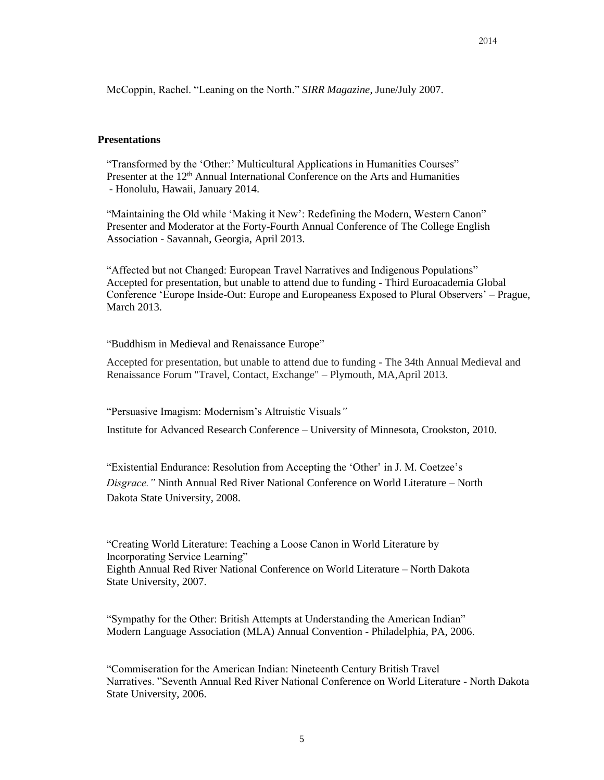McCoppin, Rachel. "Leaning on the North." *SIRR Magazine*, June/July 2007.

### **Presentations**

"Transformed by the 'Other:' Multicultural Applications in Humanities Courses" Presenter at the 12<sup>th</sup> Annual International Conference on the Arts and Humanities - Honolulu, Hawaii, January 2014.

"Maintaining the Old while 'Making it New': Redefining the Modern, Western Canon" Presenter and Moderator at the Forty-Fourth Annual Conference of The College English Association - Savannah, Georgia, April 2013.

"Affected but not Changed: European Travel Narratives and Indigenous Populations" Accepted for presentation, but unable to attend due to funding - Third Euroacademia Global Conference 'Europe Inside-Out: Europe and Europeaness Exposed to Plural Observers' – Prague, March 2013.

"Buddhism in Medieval and Renaissance Europe"

Accepted for presentation, but unable to attend due to funding - The 34th Annual Medieval and Renaissance Forum "Travel, Contact, Exchange" – Plymouth, MA,April 2013.

"Persuasive Imagism: Modernism's Altruistic Visuals*"*

Institute for Advanced Research Conference – University of Minnesota, Crookston, 2010.

"Existential Endurance: Resolution from Accepting the 'Other' in J. M. Coetzee's *Disgrace."* Ninth Annual Red River National Conference on World Literature – North Dakota State University, 2008.

"Creating World Literature: Teaching a Loose Canon in World Literature by Incorporating Service Learning" Eighth Annual Red River National Conference on World Literature – North Dakota State University, 2007.

"Sympathy for the Other: British Attempts at Understanding the American Indian" Modern Language Association (MLA) Annual Convention - Philadelphia, PA, 2006.

"Commiseration for the American Indian: Nineteenth Century British Travel Narratives. "Seventh Annual Red River National Conference on World Literature - North Dakota State University, 2006.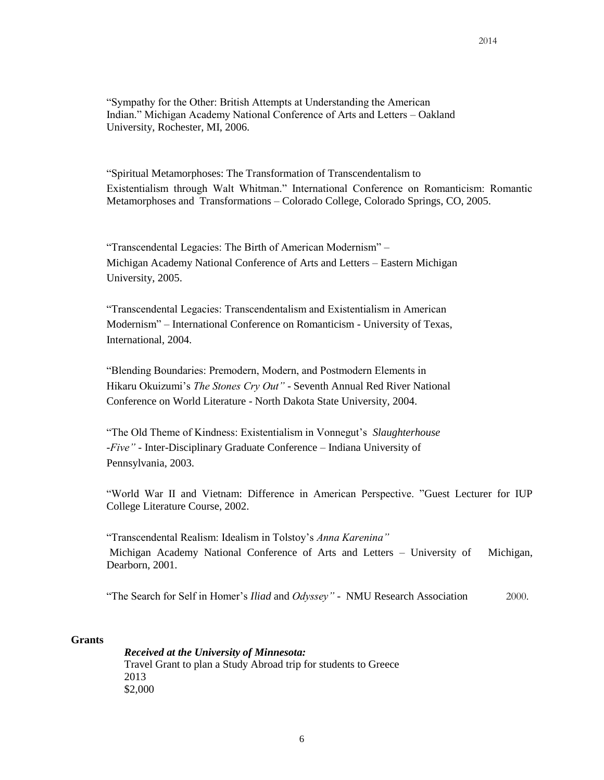"Sympathy for the Other: British Attempts at Understanding the American Indian." Michigan Academy National Conference of Arts and Letters – Oakland University, Rochester, MI, 2006.

"Spiritual Metamorphoses: The Transformation of Transcendentalism to Existentialism through Walt Whitman." International Conference on Romanticism: Romantic Metamorphoses and Transformations – Colorado College, Colorado Springs, CO, 2005.

"Transcendental Legacies: The Birth of American Modernism" – Michigan Academy National Conference of Arts and Letters – Eastern Michigan University, 2005.

"Transcendental Legacies: Transcendentalism and Existentialism in American Modernism" – International Conference on Romanticism - University of Texas, International, 2004.

"Blending Boundaries: Premodern, Modern, and Postmodern Elements in Hikaru Okuizumi's *The Stones Cry Out"* - Seventh Annual Red River National Conference on World Literature - North Dakota State University, 2004.

"The Old Theme of Kindness: Existentialism in Vonnegut's *Slaughterhouse -Five" -* Inter-Disciplinary Graduate Conference – Indiana University of Pennsylvania, 2003.

"World War II and Vietnam: Difference in American Perspective. "Guest Lecturer for IUP College Literature Course, 2002.

"Transcendental Realism: Idealism in Tolstoy's *Anna Karenina"* Michigan Academy National Conference of Arts and Letters – University of Michigan, Dearborn, 2001.

"The Search for Self in Homer's *Iliad* and *Odyssey"* - NMU Research Association 2000.

#### **Grants**

*Received at the University of Minnesota:* Travel Grant to plan a Study Abroad trip for students to Greece 2013 \$2,000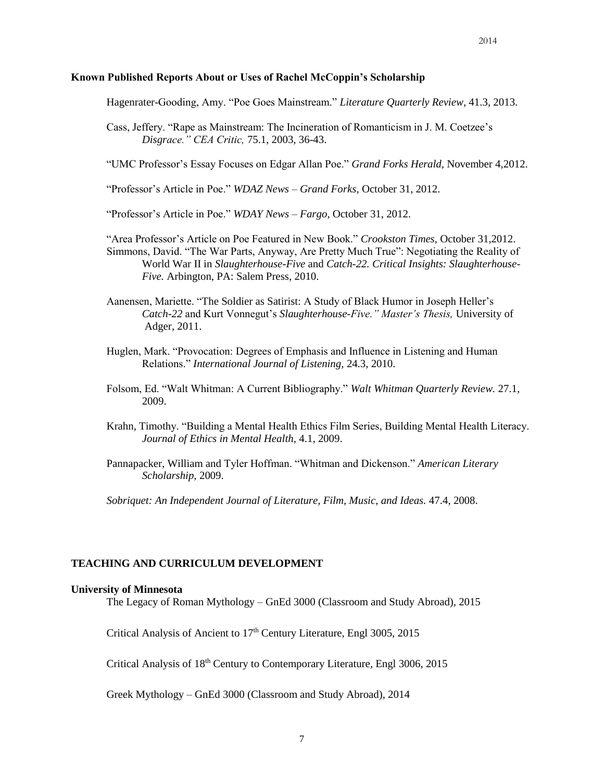### **Known Published Reports About or Uses of Rachel McCoppin's Scholarship**

Hagenrater-Gooding, Amy. "Poe Goes Mainstream." *Literature Quarterly Review,* 41.3, 2013.

Cass, Jeffery. "Rape as Mainstream: The Incineration of Romanticism in J. M. Coetzee's *Disgrace." CEA Critic,* 75.1, 2003, 36-43.

"UMC Professor's Essay Focuses on Edgar Allan Poe." *Grand Forks Herald,* November 4,2012.

"Professor's Article in Poe." *WDAZ News – Grand Forks,* October 31, 2012.

"Professor's Article in Poe." *WDAY News – Fargo,* October 31, 2012.

"Area Professor's Article on Poe Featured in New Book." *Crookston Times,* October 31,2012. Simmons, David. "The War Parts, Anyway, Are Pretty Much True": Negotiating the Reality of World War II in *Slaughterhouse-Five* and *Catch-22. Critical Insights: Slaughterhouse-Five.* Arbington, PA: Salem Press, 2010.

- Aanensen, Mariette. "The Soldier as Satirist: A Study of Black Humor in Joseph Heller's *Catch-22* and Kurt Vonnegut's *Slaughterhouse-Five." Master's Thesis,* University of Adger, 2011.
- Huglen, Mark. "Provocation: Degrees of Emphasis and Influence in Listening and Human Relations." *International Journal of Listening,* 24.3, 2010.
- Folsom, Ed. "Walt Whitman: A Current Bibliography." *Walt Whitman Quarterly Review.* 27.1, 2009.
- Krahn, Timothy. "Building a Mental Health Ethics Film Series, Building Mental Health Literacy. *Journal of Ethics in Mental Health,* 4.1, 2009.
- Pannapacker, William and Tyler Hoffman. "Whitman and Dickenson." *American Literary Scholarship,* 2009.

*Sobriquet: An Independent Journal of Literature, Film, Music, and Ideas.* 47.4, 2008.

### **TEACHING AND CURRICULUM DEVELOPMENT**

#### **University of Minnesota**

The Legacy of Roman Mythology – GnEd 3000 (Classroom and Study Abroad), 2015

Critical Analysis of Ancient to 17<sup>th</sup> Century Literature, Engl 3005, 2015

Critical Analysis of 18<sup>th</sup> Century to Contemporary Literature, Engl 3006, 2015

Greek Mythology – GnEd 3000 (Classroom and Study Abroad), 2014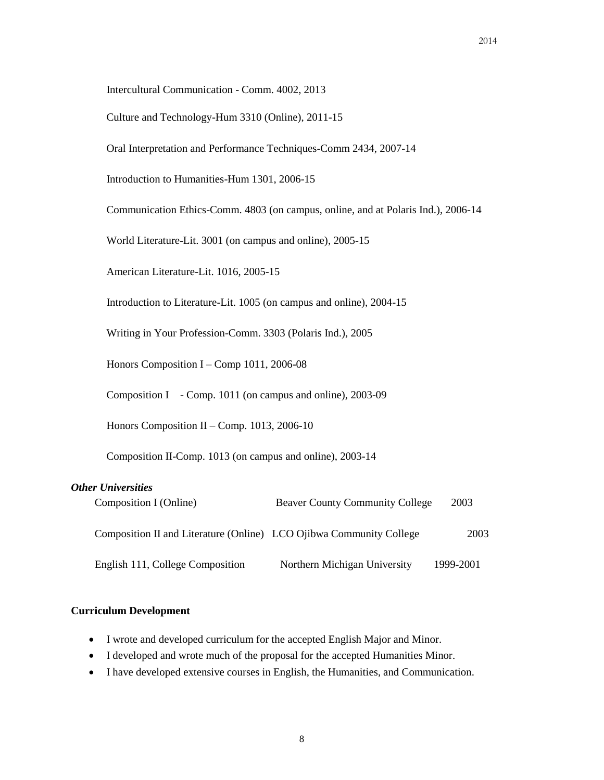Intercultural Communication - Comm. 4002, 2013

Culture and Technology-Hum 3310 (Online), 2011-15

Oral Interpretation and Performance Techniques-Comm 2434, 2007-14

Introduction to Humanities-Hum 1301, 2006-15

Communication Ethics-Comm. 4803 (on campus, online, and at Polaris Ind.), 2006-14

World Literature-Lit. 3001 (on campus and online), 2005-15

American Literature-Lit. 1016, 2005-15

Introduction to Literature-Lit. 1005 (on campus and online), 2004-15

Writing in Your Profession-Comm. 3303 (Polaris Ind.), 2005

Honors Composition I – Comp 1011, 2006-08

Composition I - Comp. 1011 (on campus and online), 2003-09

Honors Composition II – Comp. 1013, 2006-10

Composition II-Comp. 1013 (on campus and online), 2003-14

## *Other Universities*

| Composition I (Online)                                              | <b>Beaver County Community College</b> | 2003      |
|---------------------------------------------------------------------|----------------------------------------|-----------|
| Composition II and Literature (Online) LCO Ojibwa Community College |                                        | 2003      |
| English 111, College Composition                                    | Northern Michigan University           | 1999-2001 |

### **Curriculum Development**

- I wrote and developed curriculum for the accepted English Major and Minor.
- I developed and wrote much of the proposal for the accepted Humanities Minor.
- I have developed extensive courses in English, the Humanities, and Communication.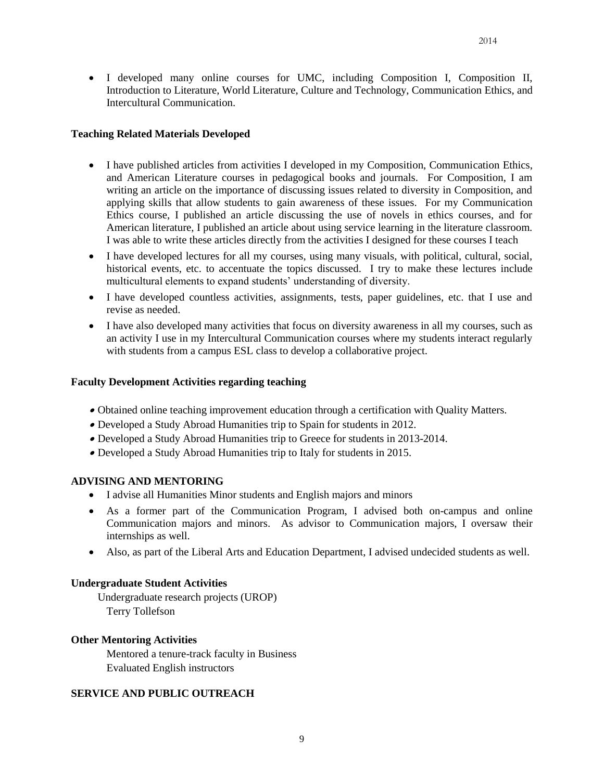I developed many online courses for UMC, including Composition I, Composition II, Introduction to Literature, World Literature, Culture and Technology, Communication Ethics, and Intercultural Communication.

## **Teaching Related Materials Developed**

- I have published articles from activities I developed in my Composition, Communication Ethics, and American Literature courses in pedagogical books and journals. For Composition, I am writing an article on the importance of discussing issues related to diversity in Composition, and applying skills that allow students to gain awareness of these issues. For my Communication Ethics course, I published an article discussing the use of novels in ethics courses, and for American literature, I published an article about using service learning in the literature classroom. I was able to write these articles directly from the activities I designed for these courses I teach
- I have developed lectures for all my courses, using many visuals, with political, cultural, social, historical events, etc. to accentuate the topics discussed. I try to make these lectures include multicultural elements to expand students' understanding of diversity.
- I have developed countless activities, assignments, tests, paper guidelines, etc. that I use and revise as needed.
- I have also developed many activities that focus on diversity awareness in all my courses, such as an activity I use in my Intercultural Communication courses where my students interact regularly with students from a campus ESL class to develop a collaborative project.

# **Faculty Development Activities regarding teaching**

- Obtained online teaching improvement education through a certification with Quality Matters.
- Developed a Study Abroad Humanities trip to Spain for students in 2012.
- Developed a Study Abroad Humanities trip to Greece for students in 2013-2014.
- Developed a Study Abroad Humanities trip to Italy for students in 2015.

## **ADVISING AND MENTORING**

- I advise all Humanities Minor students and English majors and minors
- As a former part of the Communication Program, I advised both on-campus and online Communication majors and minors. As advisor to Communication majors, I oversaw their internships as well.
- Also, as part of the Liberal Arts and Education Department, I advised undecided students as well.

## **Undergraduate Student Activities**

Undergraduate research projects (UROP) Terry Tollefson

## **Other Mentoring Activities**

Mentored a tenure-track faculty in Business Evaluated English instructors

# **SERVICE AND PUBLIC OUTREACH**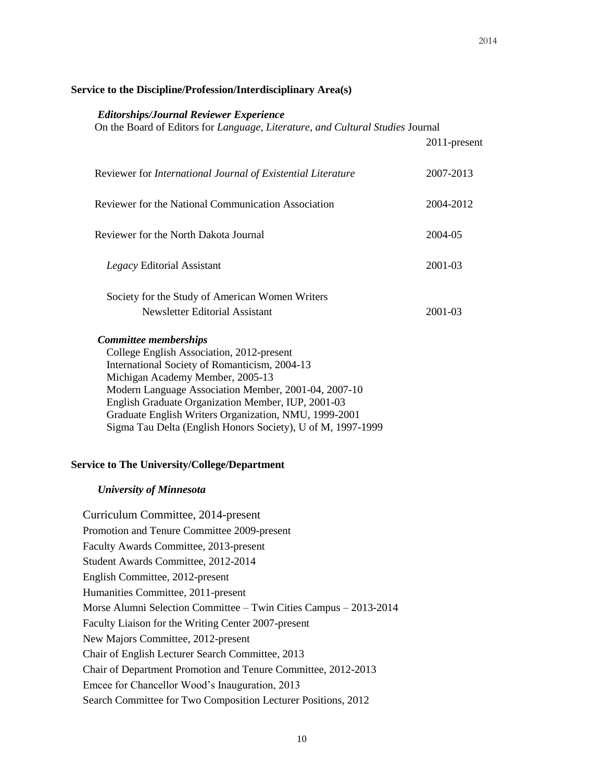### **Service to the Discipline/Profession/Interdisciplinary Area(s)**

#### *Editorships/Journal Reviewer Experience*

On the Board of Editors for *Language, Literature, and Cultural Studies* Journal

|                                                                                                                                                                                                                                                                                                                                                                                                      | 2011-present |
|------------------------------------------------------------------------------------------------------------------------------------------------------------------------------------------------------------------------------------------------------------------------------------------------------------------------------------------------------------------------------------------------------|--------------|
| Reviewer for International Journal of Existential Literature                                                                                                                                                                                                                                                                                                                                         | 2007-2013    |
| <b>Reviewer for the National Communication Association</b>                                                                                                                                                                                                                                                                                                                                           | 2004-2012    |
| Reviewer for the North Dakota Journal                                                                                                                                                                                                                                                                                                                                                                | 2004-05      |
| Legacy Editorial Assistant                                                                                                                                                                                                                                                                                                                                                                           | 2001-03      |
| Society for the Study of American Women Writers                                                                                                                                                                                                                                                                                                                                                      |              |
| Newsletter Editorial Assistant                                                                                                                                                                                                                                                                                                                                                                       | 2001-03      |
| <b>Committee memberships</b><br>College English Association, 2012-present<br>International Society of Romanticism, 2004-13<br>Michigan Academy Member, 2005-13<br>Modern Language Association Member, 2001-04, 2007-10<br>English Graduate Organization Member, IUP, 2001-03<br>Graduate English Writers Organization, NMU, 1999-2001<br>Sigma Tau Delta (English Honors Society), U of M, 1997-1999 |              |

# *University of Minnesota*

Curriculum Committee, 2014-present Promotion and Tenure Committee 2009-present Faculty Awards Committee, 2013-present Student Awards Committee, 2012-2014 English Committee, 2012-present Humanities Committee, 2011-present Morse Alumni Selection Committee – Twin Cities Campus – 2013-2014 Faculty Liaison for the Writing Center 2007-present New Majors Committee, 2012-present Chair of English Lecturer Search Committee, 2013 Chair of Department Promotion and Tenure Committee, 2012-2013 Emcee for Chancellor Wood's Inauguration, 2013 Search Committee for Two Composition Lecturer Positions, 2012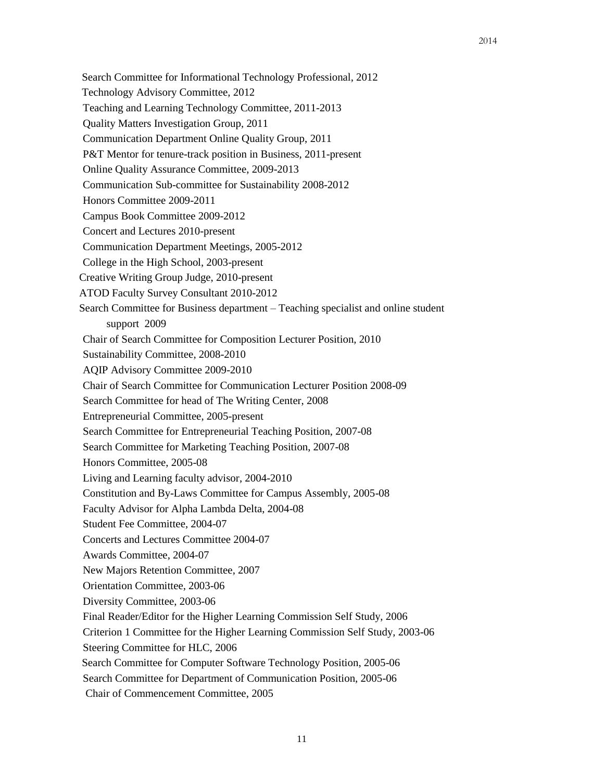Search Committee for Informational Technology Professional, 2012 Technology Advisory Committee, 2012 Teaching and Learning Technology Committee, 2011-2013 Quality Matters Investigation Group, 2011 Communication Department Online Quality Group, 2011 P&T Mentor for tenure-track position in Business, 2011-present Online Quality Assurance Committee, 2009-2013 Communication Sub-committee for Sustainability 2008-2012 Honors Committee 2009-2011 Campus Book Committee 2009-2012 Concert and Lectures 2010-present Communication Department Meetings, 2005-2012 College in the High School, 2003-present Creative Writing Group Judge, 2010-present ATOD Faculty Survey Consultant 2010-2012 Search Committee for Business department – Teaching specialist and online student support 2009 Chair of Search Committee for Composition Lecturer Position, 2010 Sustainability Committee, 2008-2010 AQIP Advisory Committee 2009-2010 Chair of Search Committee for Communication Lecturer Position 2008-09 Search Committee for head of The Writing Center, 2008 Entrepreneurial Committee, 2005-present Search Committee for Entrepreneurial Teaching Position, 2007-08 Search Committee for Marketing Teaching Position, 2007-08 Honors Committee, 2005-08 Living and Learning faculty advisor, 2004-2010 Constitution and By-Laws Committee for Campus Assembly, 2005-08 Faculty Advisor for Alpha Lambda Delta, 2004-08 Student Fee Committee, 2004-07 Concerts and Lectures Committee 2004-07 Awards Committee, 2004-07 New Majors Retention Committee, 2007 Orientation Committee, 2003-06 Diversity Committee, 2003-06 Final Reader/Editor for the Higher Learning Commission Self Study, 2006 Criterion 1 Committee for the Higher Learning Commission Self Study, 2003-06 Steering Committee for HLC, 2006 Search Committee for Computer Software Technology Position, 2005-06 Search Committee for Department of Communication Position, 2005-06 Chair of Commencement Committee, 2005